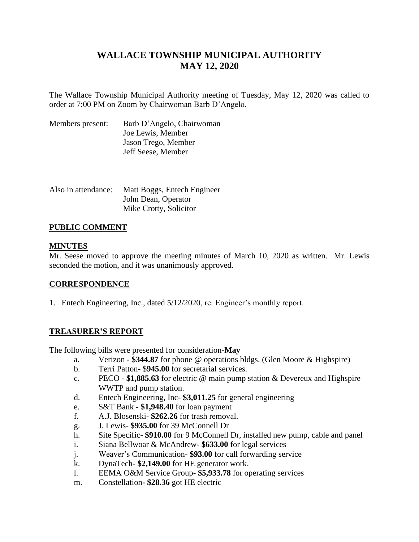# **WALLACE TOWNSHIP MUNICIPAL AUTHORITY MAY 12, 2020**

The Wallace Township Municipal Authority meeting of Tuesday, May 12, 2020 was called to order at 7:00 PM on Zoom by Chairwoman Barb D'Angelo.

| Members present: | Barb D'Angelo, Chairwoman |
|------------------|---------------------------|
|                  | Joe Lewis, Member         |
|                  | Jason Trego, Member       |
|                  | Jeff Seese, Member        |

| Also in attendance: | Matt Boggs, Entech Engineer |
|---------------------|-----------------------------|
|                     | John Dean, Operator         |
|                     | Mike Crotty, Solicitor      |

# **PUBLIC COMMENT**

### **MINUTES**

Mr. Seese moved to approve the meeting minutes of March 10, 2020 as written. Mr. Lewis seconded the motion, and it was unanimously approved.

# **CORRESPONDENCE**

1. Entech Engineering, Inc., dated 5/12/2020, re: Engineer's monthly report.

# **TREASURER'S REPORT**

The following bills were presented for consideration**-May**

- a. Verizon **\$344.87** for phone @ operations bldgs. (Glen Moore & Highspire)
- b. Terri Patton- \$**945.00** for secretarial services.
- c. PECO **\$1,885.63** for electric @ main pump station & Devereux and Highspire WWTP and pump station.
- d. Entech Engineering, Inc- **\$3,011.25** for general engineering
- e. S&T Bank **\$1,948.40** for loan payment
- f. A.J. Blosenski- **\$262.26** for trash removal.
- g. J. Lewis- **\$935.00** for 39 McConnell Dr
- h. Site Specific- **\$910.00** for 9 McConnell Dr, installed new pump, cable and panel
- i. Siana Bellwoar & McAndrew- **\$633.00** for legal services
- j. Weaver's Communication- **\$93.00** for call forwarding service
- k. DynaTech- **\$2,149.00** for HE generator work.
- l. EEMA O&M Service Group- **\$5,933.78** for operating services
- m. Constellation**- \$28.36** got HE electric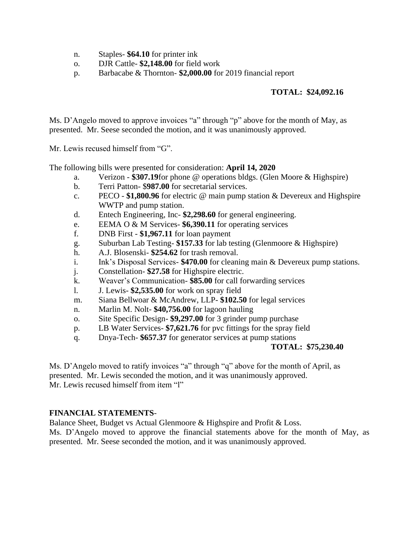- n. Staples- **\$64.10** for printer ink
- o. DJR Cattle- **\$2,148.00** for field work
- p. Barbacabe & Thornton- **\$2,000.00** for 2019 financial report

# **TOTAL: \$24,092.16**

Ms. D'Angelo moved to approve invoices "a" through "p" above for the month of May, as presented. Mr. Seese seconded the motion, and it was unanimously approved.

Mr. Lewis recused himself from "G".

The following bills were presented for consideration: **April 14, 2020**

- a. Verizon **\$307.19**for phone @ operations bldgs. (Glen Moore & Highspire)
- b. Terri Patton- \$**987.00** for secretarial services.
- c. PECO **\$1,800.96** for electric @ main pump station & Devereux and Highspire WWTP and pump station.
- d. Entech Engineering, Inc- **\$2,298.60** for general engineering.
- e. EEMA O & M Services- **\$6,390.11** for operating services
- f. DNB First **\$1,967.11** for loan payment
- g. Suburban Lab Testing- **\$157.33** for lab testing (Glenmoore & Highspire)
- h. A.J. Blosenski- **\$254.62** for trash removal.
- i. Ink's Disposal Services- **\$470.00** for cleaning main & Devereux pump stations.
- j. Constellation- **\$27.58** for Highspire electric.
- k. Weaver's Communication- **\$85.00** for call forwarding services
- l. J. Lewis- **\$2,535.00** for work on spray field
- m. Siana Bellwoar & McAndrew, LLP- **\$102.50** for legal services
- n. Marlin M. Nolt- **\$40,756.00** for lagoon hauling
- o. Site Specific Design- **\$9,297.00** for 3 grinder pump purchase
- p. LB Water Services- **\$7,621.76** for pvc fittings for the spray field
- q. Dnya-Tech- **\$657.37** for generator services at pump stations

# **TOTAL: \$75,230.40**

Ms. D'Angelo moved to ratify invoices "a" through "q" above for the month of April, as presented. Mr. Lewis seconded the motion, and it was unanimously approved. Mr. Lewis recused himself from item "l"

#### **FINANCIAL STATEMENTS**-

Balance Sheet, Budget vs Actual Glenmoore & Highspire and Profit & Loss.

Ms. D'Angelo moved to approve the financial statements above for the month of May, as presented. Mr. Seese seconded the motion, and it was unanimously approved.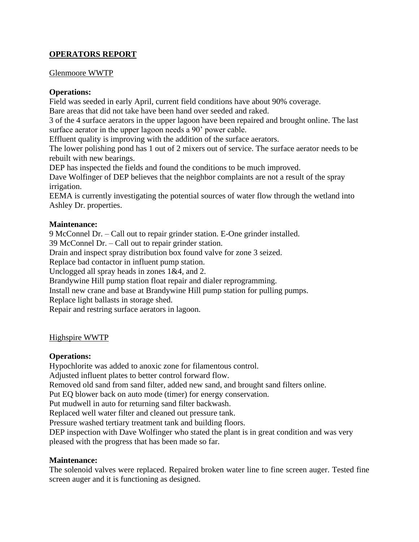# **OPERATORS REPORT**

#### Glenmoore WWTP

### **Operations:**

Field was seeded in early April, current field conditions have about 90% coverage. Bare areas that did not take have been hand over seeded and raked.

3 of the 4 surface aerators in the upper lagoon have been repaired and brought online. The last surface aerator in the upper lagoon needs a 90' power cable.

Effluent quality is improving with the addition of the surface aerators.

The lower polishing pond has 1 out of 2 mixers out of service. The surface aerator needs to be rebuilt with new bearings.

DEP has inspected the fields and found the conditions to be much improved.

Dave Wolfinger of DEP believes that the neighbor complaints are not a result of the spray irrigation.

EEMA is currently investigating the potential sources of water flow through the wetland into Ashley Dr. properties.

# **Maintenance:**

9 McConnel Dr. – Call out to repair grinder station. E-One grinder installed.

39 McConnel Dr. – Call out to repair grinder station.

Drain and inspect spray distribution box found valve for zone 3 seized.

Replace bad contactor in influent pump station.

Unclogged all spray heads in zones 1&4, and 2.

Brandywine Hill pump station float repair and dialer reprogramming.

Install new crane and base at Brandywine Hill pump station for pulling pumps.

Replace light ballasts in storage shed.

Repair and restring surface aerators in lagoon.

#### Highspire WWTP

#### **Operations:**

Hypochlorite was added to anoxic zone for filamentous control.

Adjusted influent plates to better control forward flow.

Removed old sand from sand filter, added new sand, and brought sand filters online.

Put EQ blower back on auto mode (timer) for energy conservation.

Put mudwell in auto for returning sand filter backwash.

Replaced well water filter and cleaned out pressure tank.

Pressure washed tertiary treatment tank and building floors.

DEP inspection with Dave Wolfinger who stated the plant is in great condition and was very pleased with the progress that has been made so far.

#### **Maintenance:**

The solenoid valves were replaced. Repaired broken water line to fine screen auger. Tested fine screen auger and it is functioning as designed.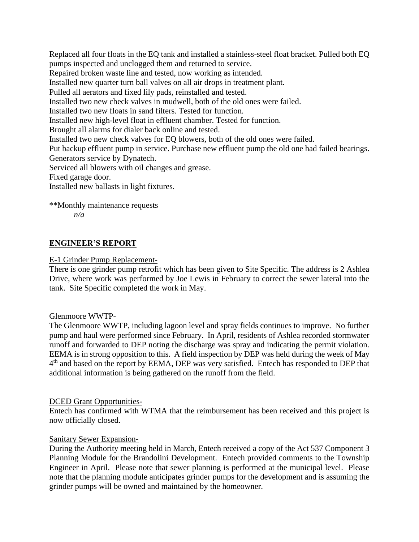Replaced all four floats in the EQ tank and installed a stainless-steel float bracket. Pulled both EQ pumps inspected and unclogged them and returned to service. Repaired broken waste line and tested, now working as intended. Installed new quarter turn ball valves on all air drops in treatment plant. Pulled all aerators and fixed lily pads, reinstalled and tested. Installed two new check valves in mudwell, both of the old ones were failed. Installed two new floats in sand filters. Tested for function. Installed new high-level float in effluent chamber. Tested for function. Brought all alarms for dialer back online and tested. Installed two new check valves for EQ blowers, both of the old ones were failed. Put backup effluent pump in service. Purchase new effluent pump the old one had failed bearings. Generators service by Dynatech. Serviced all blowers with oil changes and grease. Fixed garage door. Installed new ballasts in light fixtures.

\*\*Monthly maintenance requests

*n/a*

# **ENGINEER'S REPORT**

# E-1 Grinder Pump Replacement-

There is one grinder pump retrofit which has been given to Site Specific. The address is 2 Ashlea Drive, where work was performed by Joe Lewis in February to correct the sewer lateral into the tank. Site Specific completed the work in May.

#### Glenmoore WWTP-

The Glenmoore WWTP, including lagoon level and spray fields continues to improve. No further pump and haul were performed since February. In April, residents of Ashlea recorded stormwater runoff and forwarded to DEP noting the discharge was spray and indicating the permit violation. EEMA is in strong opposition to this. A field inspection by DEP was held during the week of May 4<sup>th</sup> and based on the report by EEMA, DEP was very satisfied. Entech has responded to DEP that additional information is being gathered on the runoff from the field.

# DCED Grant Opportunities-

Entech has confirmed with WTMA that the reimbursement has been received and this project is now officially closed.

# Sanitary Sewer Expansion-

During the Authority meeting held in March, Entech received a copy of the Act 537 Component 3 Planning Module for the Brandolini Development. Entech provided comments to the Township Engineer in April. Please note that sewer planning is performed at the municipal level. Please note that the planning module anticipates grinder pumps for the development and is assuming the grinder pumps will be owned and maintained by the homeowner.